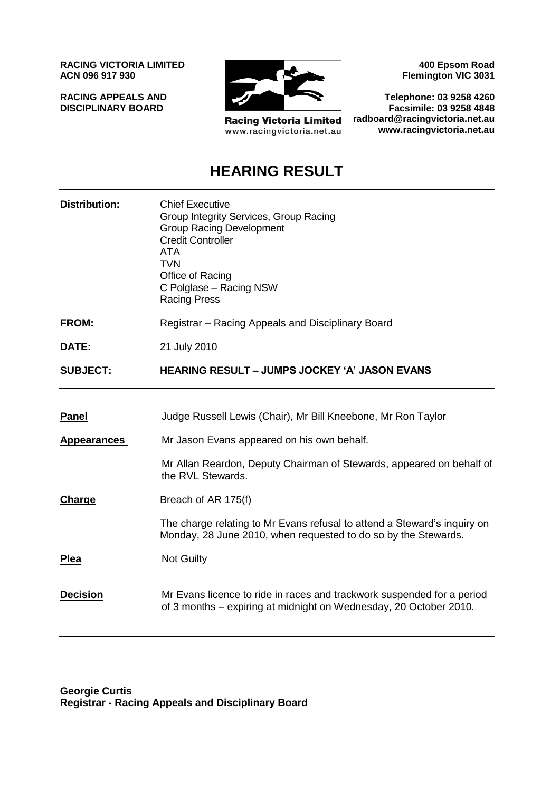**RACING VICTORIA LIMITED ACN 096 917 930**

**RACING APPEALS AND DISCIPLINARY BOARD**



**Racing Victoria Limited** www.racingvictoria.net.au

**400 Epsom Road Flemington VIC 3031**

**Telephone: 03 9258 4260 Facsimile: 03 9258 4848 radboard@racingvictoria.net.au www.racingvictoria.net.au**

# **HEARING RESULT**

| <b>Distribution:</b> | <b>Chief Executive</b><br>Group Integrity Services, Group Racing<br><b>Group Racing Development</b><br><b>Credit Controller</b><br><b>ATA</b><br><b>TVN</b><br>Office of Racing<br>C Polglase - Racing NSW<br><b>Racing Press</b> |
|----------------------|-----------------------------------------------------------------------------------------------------------------------------------------------------------------------------------------------------------------------------------|
| <b>FROM:</b>         | Registrar – Racing Appeals and Disciplinary Board                                                                                                                                                                                 |
| DATE:                | 21 July 2010                                                                                                                                                                                                                      |
| <b>SUBJECT:</b>      | <b>HEARING RESULT – JUMPS JOCKEY 'A' JASON EVANS</b>                                                                                                                                                                              |
|                      |                                                                                                                                                                                                                                   |
| <b>Panel</b>         | Judge Russell Lewis (Chair), Mr Bill Kneebone, Mr Ron Taylor                                                                                                                                                                      |
| <b>Appearances</b>   | Mr Jason Evans appeared on his own behalf.                                                                                                                                                                                        |
|                      | Mr Allan Reardon, Deputy Chairman of Stewards, appeared on behalf of<br>the RVL Stewards.                                                                                                                                         |
| <b>Charge</b>        | Breach of AR 175(f)                                                                                                                                                                                                               |
|                      | The charge relating to Mr Evans refusal to attend a Steward's inquiry on<br>Monday, 28 June 2010, when requested to do so by the Stewards.                                                                                        |
| Plea                 | <b>Not Guilty</b>                                                                                                                                                                                                                 |
| <b>Decision</b>      | Mr Evans licence to ride in races and trackwork suspended for a period<br>of 3 months – expiring at midnight on Wednesday, 20 October 2010.                                                                                       |

**Georgie Curtis Registrar - Racing Appeals and Disciplinary Board**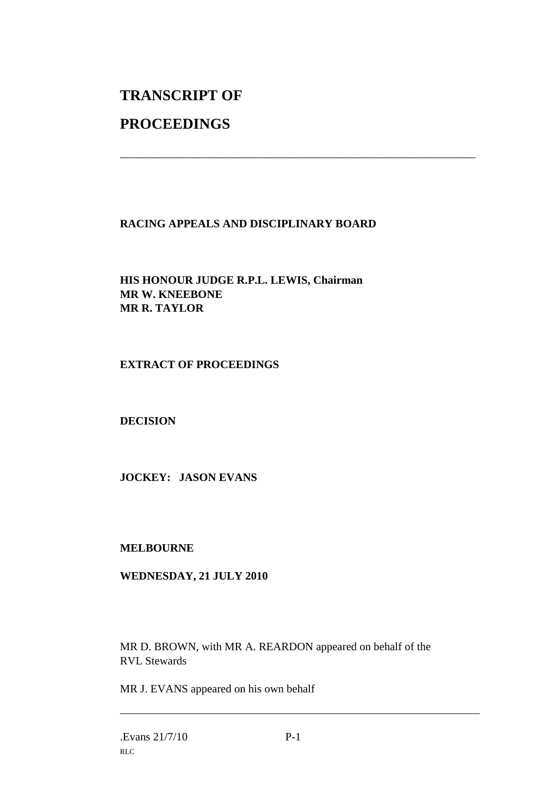# **TRANSCRIPT OF**

## **PROCEEDINGS**

## **RACING APPEALS AND DISCIPLINARY BOARD**

\_\_\_\_\_\_\_\_\_\_\_\_\_\_\_\_\_\_\_\_\_\_\_\_\_\_\_\_\_\_\_\_\_\_\_\_\_\_\_\_\_\_\_\_\_\_\_\_\_\_\_\_\_\_\_\_\_\_\_\_\_\_\_

**HIS HONOUR JUDGE R.P.L. LEWIS, Chairman MR W. KNEEBONE MR R. TAYLOR**

### **EXTRACT OF PROCEEDINGS**

#### **DECISION**

**JOCKEY: JASON EVANS**

#### **MELBOURNE**

#### **WEDNESDAY, 21 JULY 2010**

MR D. BROWN, with MR A. REARDON appeared on behalf of the RVL Stewards

MR J. EVANS appeared on his own behalf